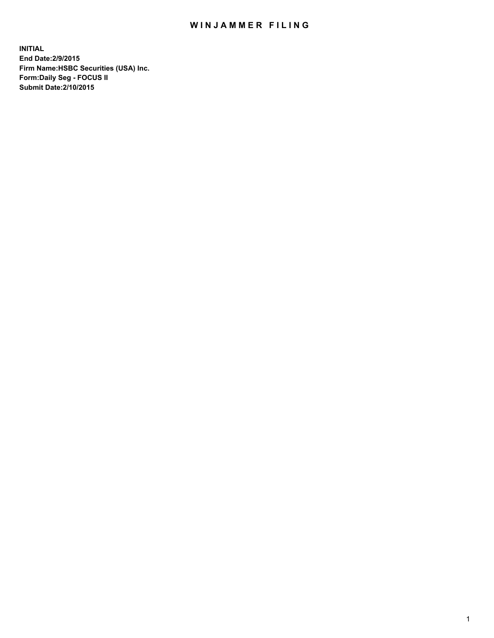## WIN JAMMER FILING

**INITIAL End Date:2/9/2015 Firm Name:HSBC Securities (USA) Inc. Form:Daily Seg - FOCUS II Submit Date:2/10/2015**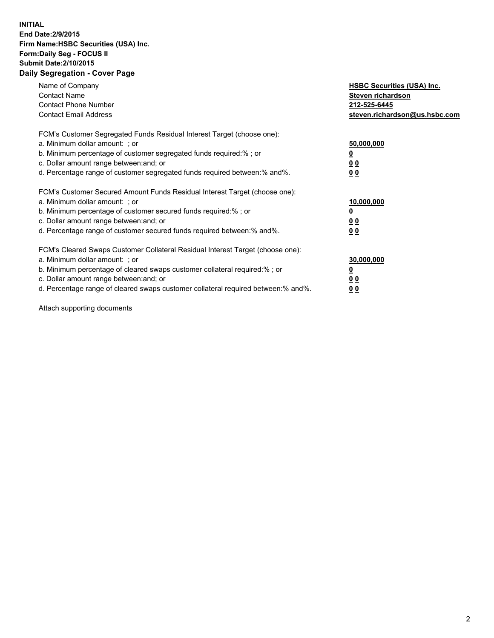## **INITIAL End Date:2/9/2015 Firm Name:HSBC Securities (USA) Inc. Form:Daily Seg - FOCUS II Submit Date:2/10/2015 Daily Segregation - Cover Page**

| Name of Company<br><b>Contact Name</b><br><b>Contact Phone Number</b><br><b>Contact Email Address</b>                                                                                                                                                                                                                         | <b>HSBC Securities (USA) Inc.</b><br>Steven richardson<br>212-525-6445<br>steven.richardson@us.hsbc.com |
|-------------------------------------------------------------------------------------------------------------------------------------------------------------------------------------------------------------------------------------------------------------------------------------------------------------------------------|---------------------------------------------------------------------------------------------------------|
| FCM's Customer Segregated Funds Residual Interest Target (choose one):<br>a. Minimum dollar amount: ; or<br>b. Minimum percentage of customer segregated funds required:% ; or<br>c. Dollar amount range between: and; or<br>d. Percentage range of customer segregated funds required between: % and %.                      | 50,000,000<br><u>0</u><br>0 <sub>0</sub><br>0 <sub>0</sub>                                              |
| FCM's Customer Secured Amount Funds Residual Interest Target (choose one):<br>a. Minimum dollar amount: ; or<br>b. Minimum percentage of customer secured funds required:%; or<br>c. Dollar amount range between: and; or<br>d. Percentage range of customer secured funds required between:% and%.                           | 10,000,000<br>0 <sub>0</sub><br>0 <sub>0</sub>                                                          |
| FCM's Cleared Swaps Customer Collateral Residual Interest Target (choose one):<br>a. Minimum dollar amount: ; or<br>b. Minimum percentage of cleared swaps customer collateral required:%; or<br>c. Dollar amount range between: and; or<br>d. Percentage range of cleared swaps customer collateral required between:% and%. | 30,000,000<br>0 <sub>0</sub><br>00                                                                      |

Attach supporting documents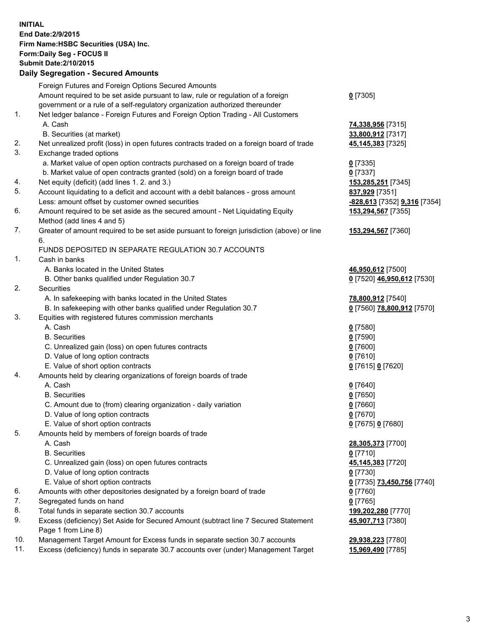**INITIAL End Date:2/9/2015 Firm Name:HSBC Securities (USA) Inc. Form:Daily Seg - FOCUS II Submit Date:2/10/2015 Daily Segregation - Secured Amounts**

Foreign Futures and Foreign Options Secured Amounts Amount required to be set aside pursuant to law, rule or regulation of a foreign government or a rule of a self-regulatory organization authorized thereunder **0** [7305] 1. Net ledger balance - Foreign Futures and Foreign Option Trading - All Customers A. Cash **74,338,956** [7315] B. Securities (at market) **33,800,912** [7317] 2. Net unrealized profit (loss) in open futures contracts traded on a foreign board of trade **45,145,383** [7325] 3. Exchange traded options a. Market value of open option contracts purchased on a foreign board of trade **0** [7335] b. Market value of open contracts granted (sold) on a foreign board of trade **0** [7337] 4. Net equity (deficit) (add lines 1. 2. and 3.) **153,285,251** [7345] 5. Account liquidating to a deficit and account with a debit balances - gross amount **837,929** [7351] Less: amount offset by customer owned securities **-828,613** [7352] **9,316** [7354] 6. Amount required to be set aside as the secured amount - Net Liquidating Equity Method (add lines 4 and 5) **153,294,567** [7355] 7. Greater of amount required to be set aside pursuant to foreign jurisdiction (above) or line 6. **153,294,567** [7360] FUNDS DEPOSITED IN SEPARATE REGULATION 30.7 ACCOUNTS 1. Cash in banks A. Banks located in the United States **46,950,612** [7500] B. Other banks qualified under Regulation 30.7 **0** [7520] **46,950,612** [7530] 2. Securities A. In safekeeping with banks located in the United States **78,800,912** [7540] B. In safekeeping with other banks qualified under Regulation 30.7 **0** [7560] **78,800,912** [7570] 3. Equities with registered futures commission merchants A. Cash **0** [7580] B. Securities **0** [7590] C. Unrealized gain (loss) on open futures contracts **0** [7600] D. Value of long option contracts **0** [7610] E. Value of short option contracts **0** [7615] **0** [7620] 4. Amounts held by clearing organizations of foreign boards of trade A. Cash **0** [7640] B. Securities **0** [7650] C. Amount due to (from) clearing organization - daily variation **0** [7660] D. Value of long option contracts **0** [7670] E. Value of short option contracts **0** [7675] **0** [7680] 5. Amounts held by members of foreign boards of trade A. Cash **28,305,373** [7700] B. Securities **0** [7710] C. Unrealized gain (loss) on open futures contracts **45,145,383** [7720] D. Value of long option contracts **0** [7730] E. Value of short option contracts **0** [7735] **73,450,756** [7740] 6. Amounts with other depositories designated by a foreign board of trade **0** [7760] 7. Segregated funds on hand **0** [7765] 8. Total funds in separate section 30.7 accounts **199,202,280** [7770] 9. Excess (deficiency) Set Aside for Secured Amount (subtract line 7 Secured Statement Page 1 from Line 8) **45,907,713** [7380] 10. Management Target Amount for Excess funds in separate section 30.7 accounts **29,938,223** [7780] 11. Excess (deficiency) funds in separate 30.7 accounts over (under) Management Target **15,969,490** [7785]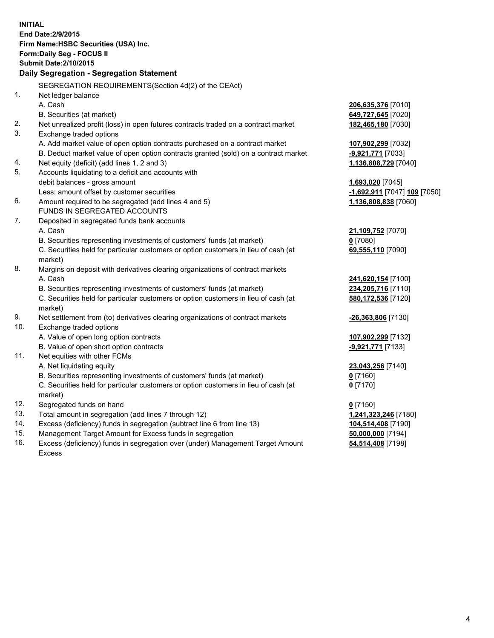|     | <b>INITIAL</b>                                                                                 |                              |  |  |
|-----|------------------------------------------------------------------------------------------------|------------------------------|--|--|
|     | End Date: 2/9/2015                                                                             |                              |  |  |
|     | Firm Name: HSBC Securities (USA) Inc.                                                          |                              |  |  |
|     | Form: Daily Seg - FOCUS II                                                                     |                              |  |  |
|     | <b>Submit Date: 2/10/2015</b>                                                                  |                              |  |  |
|     | <b>Daily Segregation - Segregation Statement</b>                                               |                              |  |  |
|     | SEGREGATION REQUIREMENTS(Section 4d(2) of the CEAct)                                           |                              |  |  |
| 1.  | Net ledger balance                                                                             |                              |  |  |
|     | A. Cash                                                                                        | 206,635,376 [7010]           |  |  |
|     | B. Securities (at market)                                                                      | 649,727,645 [7020]           |  |  |
| 2.  | Net unrealized profit (loss) in open futures contracts traded on a contract market             | 182,465,180 [7030]           |  |  |
| 3.  | Exchange traded options                                                                        |                              |  |  |
|     | A. Add market value of open option contracts purchased on a contract market                    | 107,902,299 [7032]           |  |  |
|     | B. Deduct market value of open option contracts granted (sold) on a contract market            | -9,921,771 [7033]            |  |  |
| 4.  | Net equity (deficit) (add lines 1, 2 and 3)                                                    | 1,136,808,729 [7040]         |  |  |
| 5.  | Accounts liquidating to a deficit and accounts with                                            |                              |  |  |
|     | debit balances - gross amount                                                                  | 1,693,020 [7045]             |  |  |
|     | Less: amount offset by customer securities                                                     | -1,692,911 [7047] 109 [7050] |  |  |
| 6.  | Amount required to be segregated (add lines 4 and 5)                                           | 1,136,808,838 [7060]         |  |  |
|     | FUNDS IN SEGREGATED ACCOUNTS                                                                   |                              |  |  |
| 7.  | Deposited in segregated funds bank accounts                                                    |                              |  |  |
|     | A. Cash                                                                                        | 21,109,752 [7070]            |  |  |
|     | B. Securities representing investments of customers' funds (at market)                         | $0$ [7080]                   |  |  |
|     | C. Securities held for particular customers or option customers in lieu of cash (at            | 69,555,110 [7090]            |  |  |
|     | market)                                                                                        |                              |  |  |
| 8.  | Margins on deposit with derivatives clearing organizations of contract markets                 |                              |  |  |
|     | A. Cash                                                                                        | 241,620,154 [7100]           |  |  |
|     | B. Securities representing investments of customers' funds (at market)                         | 234,205,716 [7110]           |  |  |
|     | C. Securities held for particular customers or option customers in lieu of cash (at            | 580,172,536 [7120]           |  |  |
|     | market)                                                                                        |                              |  |  |
| 9.  | Net settlement from (to) derivatives clearing organizations of contract markets                | -26,363,806 [7130]           |  |  |
| 10. | Exchange traded options                                                                        |                              |  |  |
|     | A. Value of open long option contracts                                                         | 107,902,299 [7132]           |  |  |
|     | B. Value of open short option contracts                                                        | -9,921,771 [7133]            |  |  |
| 11. | Net equities with other FCMs                                                                   |                              |  |  |
|     | A. Net liquidating equity                                                                      | 23,043,256 [7140]            |  |  |
|     | B. Securities representing investments of customers' funds (at market)                         | $0$ [7160]                   |  |  |
|     | C. Securities held for particular customers or option customers in lieu of cash (at<br>market) | $0$ [7170]                   |  |  |
| 12. | Segregated funds on hand                                                                       | $0$ [7150]                   |  |  |
| 13. | Total amount in segregation (add lines 7 through 12)                                           | 1,241,323,246 [7180]         |  |  |
| 14. | Excess (deficiency) funds in segregation (subtract line 6 from line 13)                        | 104,514,408 [7190]           |  |  |
| 15. | Management Target Amount for Excess funds in segregation                                       | 50,000,000 [7194]            |  |  |
| 16. | Excess (deficiency) funds in segregation over (under) Management Target Amount                 | 54,514,408 [7198]            |  |  |

Excess